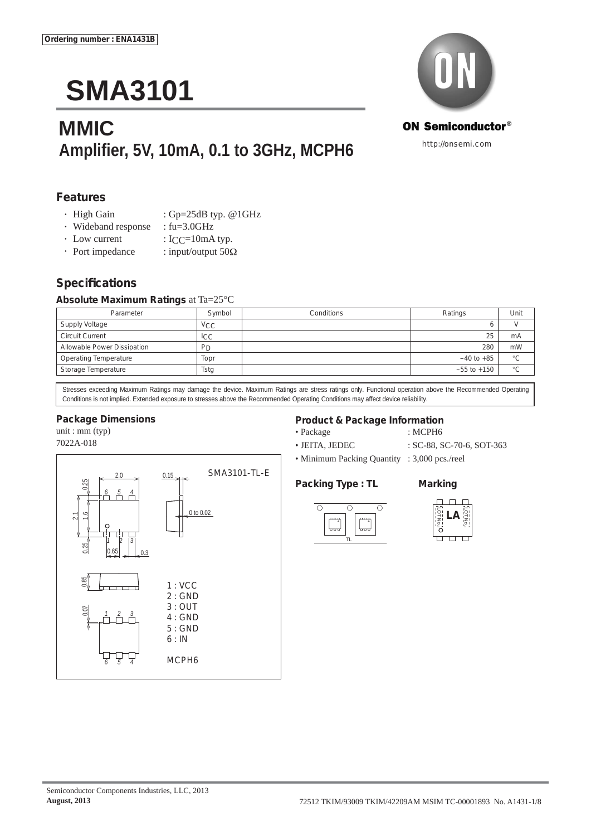# **SMA3101**

# **MMIC Amplifi er, 5V, 10mA, 0.1 to 3GHz, MCPH6**



http://onsemi.com

#### **Features**

- High Gain : Gp=25dB typ. @1GHz
- Wideband response : fu=3.0GHz
- 
- Low current : ICC=10mA typ.<br>• Port impedance : input/output 500 : input/output  $50\Omega$

### **Specifi cations**

#### **Absolute Maximum Ratings** at Ta=25°C

| Parameter                    | Symbol         | Conditions | Ratings         | Unit    |
|------------------------------|----------------|------------|-----------------|---------|
| Supply Voltage               | <b>VCC</b>     |            |                 |         |
| <b>Circuit Current</b>       | ICC            |            | 25              | mA      |
| Allowable Power Dissipation  | P <sub>D</sub> |            | 280             | mW      |
| <b>Operating Temperature</b> | Topr           |            | $-40$ to $+85$  | $\circ$ |
| Storage Temperature          | Tstg           |            | $-55$ to $+150$ | $\circ$ |

Stresses exceeding Maximum Ratings may damage the device. Maximum Ratings are stress ratings only. Functional operation above the Recommended Operating Conditions is not implied. Extended exposure to stresses above the Recommended Operating Conditions may affect device reliability.

#### **Package Dimensions**

unit : mm (typ) 7022A-018



• Package : MCPH6

- 
- JEITA, JEDEC : SC-88, SC-70-6, SOT-363
- Minimum Packing Quantity : 3,000 pcs./reel

#### **Packing Type : TL Marking**







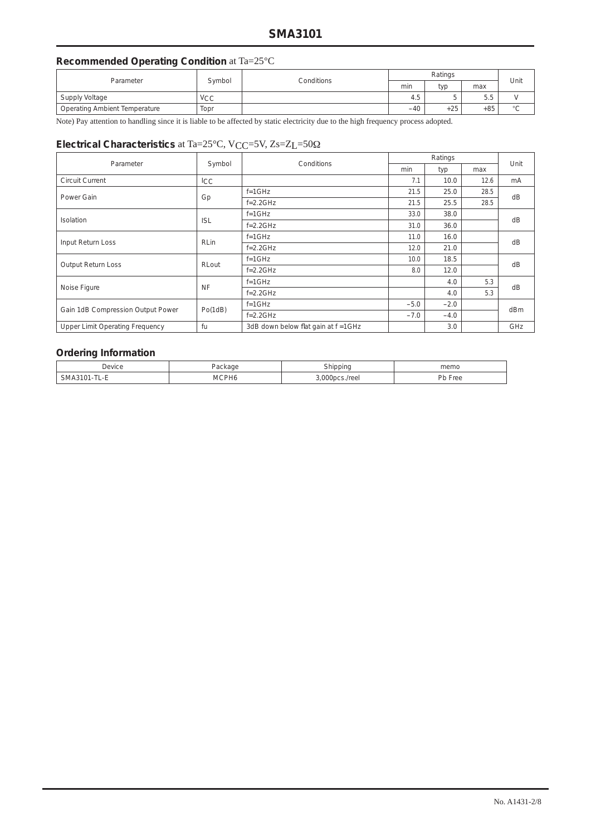### **Recommended Operating Condition** at Ta=25°C

| Parameter                     | Symbol     | Conditions | Ratings |               |       | Unit          |
|-------------------------------|------------|------------|---------|---------------|-------|---------------|
|                               |            |            | min     | typ           | max   |               |
| Supply Voltage                | <b>VCC</b> |            | 4.5     | -<br>∽<br>. . | 5.5   |               |
| Operating Ambient Temperature | Topr       |            | $-40$   | $+25$         | $+85$ | $\circ$<br>ر، |

Note) Pay attention to handling since it is liable to be affected by static electricity due to the high frequency process adopted.

### **Electrical Characteristics** at Ta=25°C, VCC=5V, Zs=ZL=50Ω

| Parameter                              | Symbol      | Conditions                          |                  | Unit   |      |                 |  |  |
|----------------------------------------|-------------|-------------------------------------|------------------|--------|------|-----------------|--|--|
|                                        |             |                                     | min              | typ    | max  |                 |  |  |
| <b>Circuit Current</b>                 | ICC         |                                     | 7.1              | 10.0   | 12.6 | mA              |  |  |
| Power Gain                             |             | $f = 1$ GHz                         | 21.5<br>25.0     |        | 28.5 |                 |  |  |
|                                        | Gp          | $f = 2.2$ GHz                       | 21.5             | 25.5   | 28.5 | dB              |  |  |
| Isolation                              |             | $f = 1$ GHz                         | 33.0             | 38.0   |      | dB              |  |  |
|                                        | <b>ISL</b>  | $f = 2.2$ GHz                       | 31.0             | 36.0   |      |                 |  |  |
|                                        | <b>RLin</b> | $f = 1$ GHz                         | 11.0             | 16.0   |      | dB              |  |  |
| Input Return Loss                      |             | $f=2.2GHz$                          | 12.0             | 21.0   |      |                 |  |  |
| Output Return Loss                     | RLout       | $f = 1$ GHz                         | 18.5<br>10.0     |        |      | dB              |  |  |
|                                        |             | $f = 2.2$ GHz                       | 8.0              | 12.0   |      |                 |  |  |
| Noise Figure                           | <b>NF</b>   | $f = 1$ GHz                         |                  | 4.0    | 5.3  |                 |  |  |
|                                        |             | $f = 2.2$ GHz                       |                  | 4.0    | 5.3  | dB              |  |  |
| Gain 1dB Compression Output Power      | Po(1dB)     | $f = 1$ GHz                         | $-2.0$<br>$-5.0$ |        |      | d <sub>Bm</sub> |  |  |
|                                        |             | $f = 2.2$ GHz                       | $-7.0$           | $-4.0$ |      |                 |  |  |
| <b>Upper Limit Operating Frequency</b> | fu          | 3dB down below flat gain at f =1GHz |                  | 3.0    |      | GHz             |  |  |

#### **Ordering Information**

| Jevice                  | ு⊩         | hinnin     | memo       |  |  |
|-------------------------|------------|------------|------------|--|--|
|                         |            |            |            |  |  |
| ے ⁄ا<br>. .<br>- -<br>- | ∵^PHo<br>M | n<br>/reei | הור<br>ree |  |  |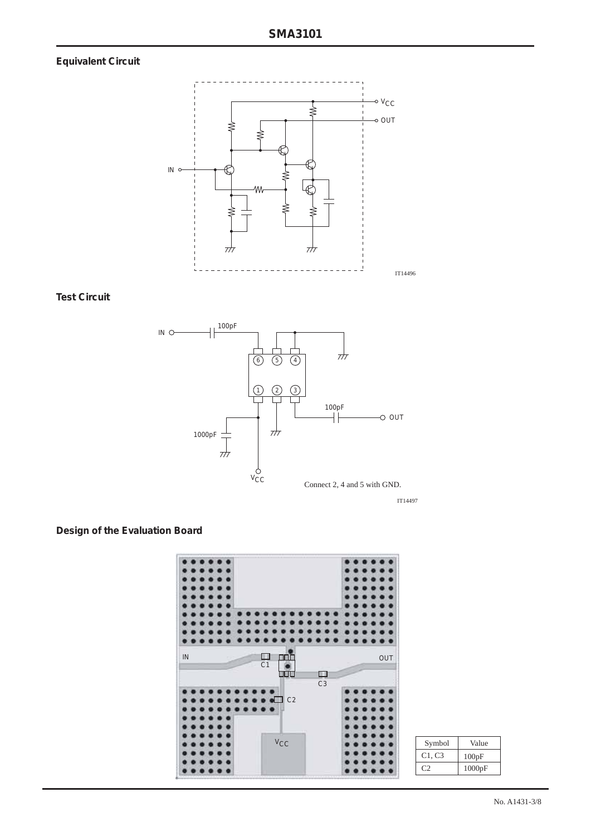# **Equivalent Circuit**



**Test Circuit**



IT14497

### **Design of the Evaluation Board**



| Symbol | Value  |
|--------|--------|
| C1, C3 | 100pF  |
|        | 1000pF |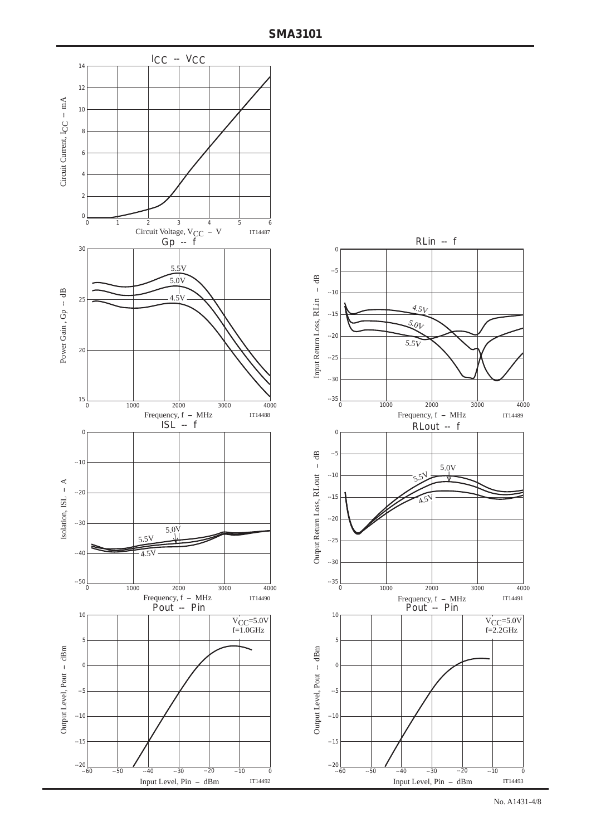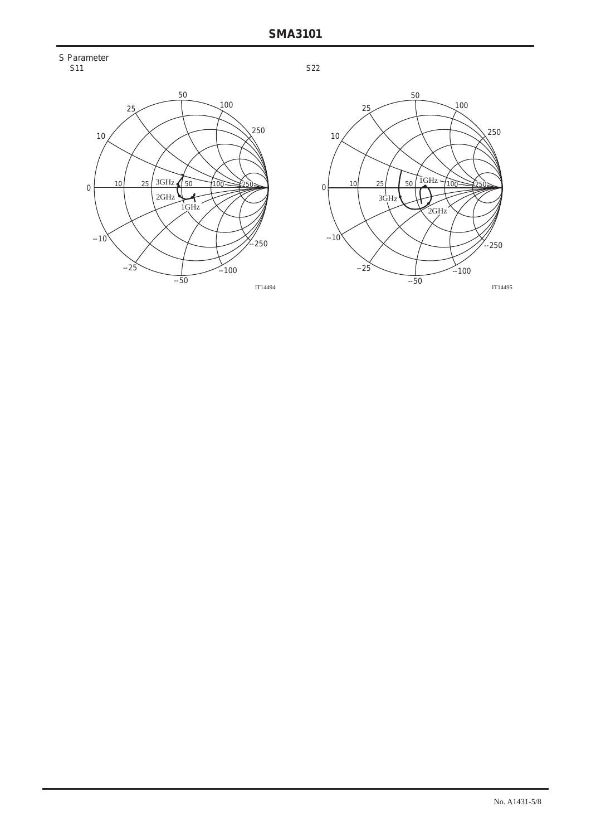



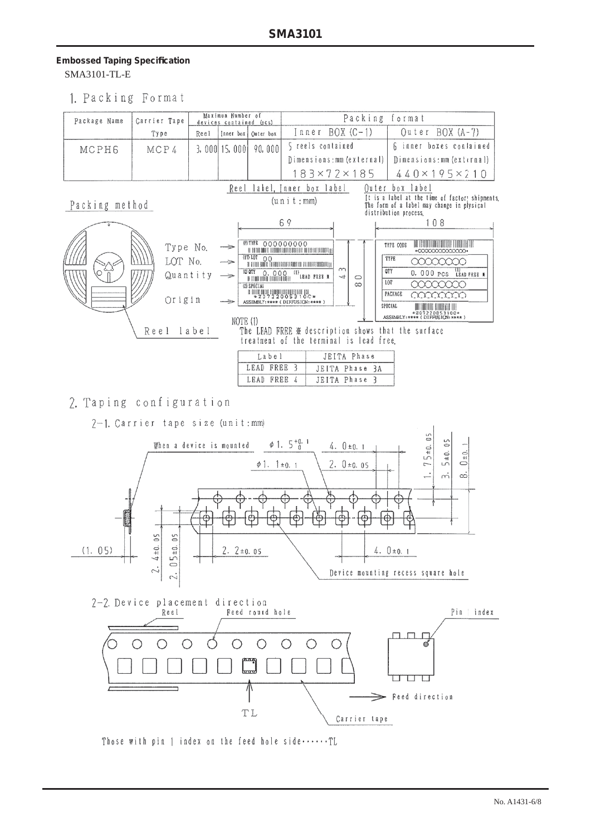#### **Embossed Taping Specifi cation** SMA3101-TL-E

1. Packing Format

| Package Name        | Carrier Tape                          |                   | Maximun Number of<br>devices contained (acs)            |                                                                                                                                                                                                         | Packing format       |                                                    |                                                                               |                                                                                                                                                                                                                                                                                                                                                                                                  |
|---------------------|---------------------------------------|-------------------|---------------------------------------------------------|---------------------------------------------------------------------------------------------------------------------------------------------------------------------------------------------------------|----------------------|----------------------------------------------------|-------------------------------------------------------------------------------|--------------------------------------------------------------------------------------------------------------------------------------------------------------------------------------------------------------------------------------------------------------------------------------------------------------------------------------------------------------------------------------------------|
|                     | Туре                                  | Reel              |                                                         | [aner box] Quter box                                                                                                                                                                                    | $Inner BOX (C-1)$    |                                                    |                                                                               | Outer BOX (A-7)                                                                                                                                                                                                                                                                                                                                                                                  |
| MCPH6               | MCP4                                  |                   | $3,000$ 15,000                                          | 90,000                                                                                                                                                                                                  | 5 reels contained    |                                                    |                                                                               | 6 inner boxes contained                                                                                                                                                                                                                                                                                                                                                                          |
|                     |                                       |                   |                                                         |                                                                                                                                                                                                         |                      |                                                    | Dimensions: mm (external)                                                     | Dimensions: mm (external)                                                                                                                                                                                                                                                                                                                                                                        |
|                     |                                       |                   |                                                         |                                                                                                                                                                                                         |                      | $183\times72\times185$                             |                                                                               | $440 \times 195 \times 210$                                                                                                                                                                                                                                                                                                                                                                      |
| Packing method<br>O | Type No.<br>LOT No.<br>Origin<br>Reel | Quantity<br>label | Reel<br>$\Rightarrow$<br>—<br>$\Rightarrow$<br>NOTE (1) | (P) TYPE 00000000<br><b>AL EL TORE DONE LA TERRE ETABLICA DELLE DELLE LA TERRE DELLE DELLE DELLE DELLE DELLE DELLE DELLE DELLE DELLE D</b><br>(2) SPECIAL<br>ASSEMBLY: **** (DIFFUSION: **** )<br>Label | (u n i t : mm)<br>69 | label, Inner box label<br>$\sim$<br>$\overline{t}$ | $\circ$<br>$\infty$<br>treatment of the terminal is lead free.<br>JEITA Phase | Outer box label<br>It is a label at the time of factory shipments<br>The form of a label may change in plysical<br>distribution process.<br>108<br>TYPE CODE<br>*00000000000000*<br>TYPE<br>00000000<br>OTY<br>0. 000 PCS LEAD FREE #<br>LOT<br>annnn<br>PACKAGE<br>aaaaan<br>SPECIAL<br>*20722005310C*<br>ASSEMBLY:**** (DIFFUSION:**** )<br>The LEAD FREE ※ description shows that the surface |
|                     |                                       |                   |                                                         | LEAD FREE 3                                                                                                                                                                                             |                      |                                                    | JEITA Phase 3A                                                                |                                                                                                                                                                                                                                                                                                                                                                                                  |
|                     |                                       |                   |                                                         | LEAD FREE 4                                                                                                                                                                                             |                      | JEITA Phase 3                                      |                                                                               |                                                                                                                                                                                                                                                                                                                                                                                                  |

# 2. Taping configuration

2-1. Carrier tape size (unit:mm)



Those with pin 1 index on the feed hole side ......TL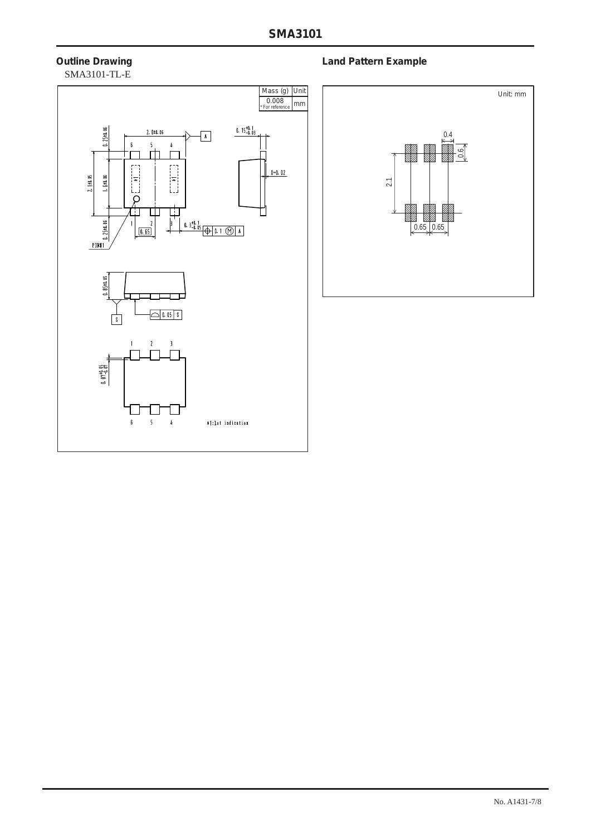# SMA3101-TL-E



### **Outline Drawing Community Community Community Community Community Community Community Community Community Community**